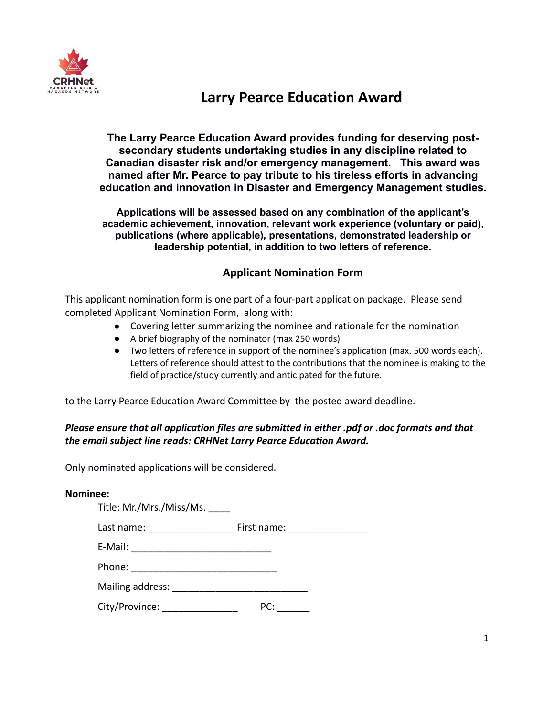

## **Larry Pearce Education Award**

**The Larry Pearce Education Award provides funding for deserving postsecondary students undertaking studies in any discipline related to Canadian disaster risk and/or emergency management. This award was named after Mr. Pearce to pay tribute to his tireless efforts in advancing education and innovation in Disaster and Emergency Management studies.**

**Applications will be assessed based on any combination of the applicant's academic achievement, innovation, relevant work experience (voluntary or paid), publications (where applicable), presentations, demonstrated leadership or leadership potential, in addition to two letters of reference.**

### **Applicant Nomination Form**

This applicant nomination form is one part of a four-part application package. Please send completed Applicant Nomination Form, along with:

- Covering letter summarizing the nominee and rationale for the nomination
	- A brief biography of the nominator (max 250 words)
	- Two letters of reference in support of the nominee's application (max. 500 words each). Letters of reference should attest to the contributions that the nominee is making to the field of practice/study currently and anticipated for the future.

to the Larry Pearce Education Award Committee by the posted award deadline.

### *Please ensure that all application files are submitted in either .pdf or .doc formats and that the email subject line reads: CRHNet Larry Pearce Education Award.*

Only nominated applications will be considered.

#### **Nominee:**

| Title: Mr./Mrs./Miss/Ms.        |                               |
|---------------------------------|-------------------------------|
| Last name: ____________________ | First name: _________________ |
|                                 |                               |
|                                 |                               |
|                                 |                               |
| City/Province:                  | PC:                           |